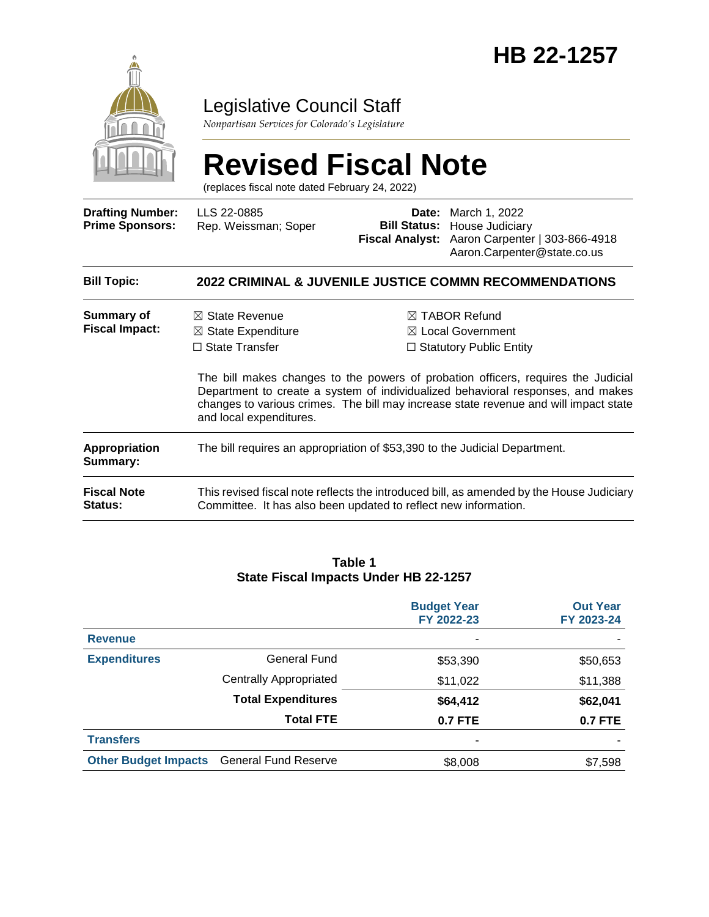

### Legislative Council Staff

*Nonpartisan Services for Colorado's Legislature*

# **Revised Fiscal Note**

(replaces fiscal note dated February 24, 2022)

| <b>Drafting Number:</b><br><b>Prime Sponsors:</b> | LLS 22-0885<br>Rep. Weissman; Soper                                                                                                                         | Date:<br><b>Bill Status:</b><br><b>Fiscal Analyst:</b> | March 1, 2022<br>House Judiciary<br>Aaron Carpenter   303-866-4918<br>Aaron.Carpenter@state.co.us                                                                                                                                                                                                                                                          |  |  |
|---------------------------------------------------|-------------------------------------------------------------------------------------------------------------------------------------------------------------|--------------------------------------------------------|------------------------------------------------------------------------------------------------------------------------------------------------------------------------------------------------------------------------------------------------------------------------------------------------------------------------------------------------------------|--|--|
| <b>Bill Topic:</b>                                | <b>2022 CRIMINAL &amp; JUVENILE JUSTICE COMMN RECOMMENDATIONS</b>                                                                                           |                                                        |                                                                                                                                                                                                                                                                                                                                                            |  |  |
| Summary of<br><b>Fiscal Impact:</b>               | $\boxtimes$ State Revenue<br>$\boxtimes$ State Expenditure<br>$\Box$ State Transfer<br>and local expenditures.                                              |                                                        | $\boxtimes$ TABOR Refund<br>$\boxtimes$ Local Government<br>$\Box$ Statutory Public Entity<br>The bill makes changes to the powers of probation officers, requires the Judicial<br>Department to create a system of individualized behavioral responses, and makes<br>changes to various crimes. The bill may increase state revenue and will impact state |  |  |
| <b>Appropriation</b><br>Summary:                  | The bill requires an appropriation of \$53,390 to the Judicial Department.                                                                                  |                                                        |                                                                                                                                                                                                                                                                                                                                                            |  |  |
| <b>Fiscal Note</b><br><b>Status:</b>              | This revised fiscal note reflects the introduced bill, as amended by the House Judiciary<br>Committee. It has also been updated to reflect new information. |                                                        |                                                                                                                                                                                                                                                                                                                                                            |  |  |

#### **Table 1 State Fiscal Impacts Under HB 22-1257**

|                             |                               | <b>Budget Year</b><br>FY 2022-23 | <b>Out Year</b><br>FY 2023-24 |
|-----------------------------|-------------------------------|----------------------------------|-------------------------------|
| <b>Revenue</b>              |                               | ٠                                |                               |
| <b>Expenditures</b>         | General Fund                  | \$53,390                         | \$50,653                      |
|                             | <b>Centrally Appropriated</b> | \$11,022                         | \$11,388                      |
|                             | <b>Total Expenditures</b>     | \$64,412                         | \$62,041                      |
|                             | <b>Total FTE</b>              | <b>0.7 FTE</b>                   | <b>0.7 FTE</b>                |
| <b>Transfers</b>            |                               | ٠                                |                               |
| <b>Other Budget Impacts</b> | <b>General Fund Reserve</b>   | \$8,008                          | \$7,598                       |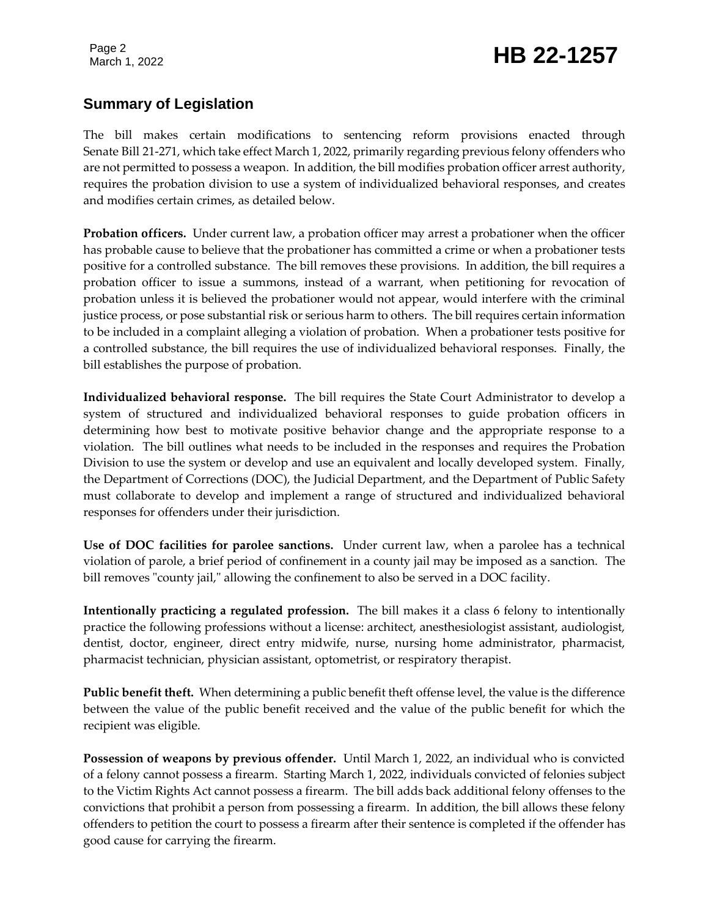Page 2

## Page 2<br>March 1, 2022 **HB 22-1257**

#### **Summary of Legislation**

The bill makes certain modifications to sentencing reform provisions enacted through Senate Bill 21-271, which take effect March 1, 2022, primarily regarding previous felony offenders who are not permitted to possess a weapon. In addition, the bill modifies probation officer arrest authority, requires the probation division to use a system of individualized behavioral responses, and creates and modifies certain crimes, as detailed below.

**Probation officers.** Under current law, a probation officer may arrest a probationer when the officer has probable cause to believe that the probationer has committed a crime or when a probationer tests positive for a controlled substance. The bill removes these provisions. In addition, the bill requires a probation officer to issue a summons, instead of a warrant, when petitioning for revocation of probation unless it is believed the probationer would not appear, would interfere with the criminal justice process, or pose substantial risk or serious harm to others. The bill requires certain information to be included in a complaint alleging a violation of probation. When a probationer tests positive for a controlled substance, the bill requires the use of individualized behavioral responses. Finally, the bill establishes the purpose of probation.

**Individualized behavioral response.** The bill requires the State Court Administrator to develop a system of structured and individualized behavioral responses to guide probation officers in determining how best to motivate positive behavior change and the appropriate response to a violation. The bill outlines what needs to be included in the responses and requires the Probation Division to use the system or develop and use an equivalent and locally developed system. Finally, the Department of Corrections (DOC), the Judicial Department, and the Department of Public Safety must collaborate to develop and implement a range of structured and individualized behavioral responses for offenders under their jurisdiction.

**Use of DOC facilities for parolee sanctions.** Under current law, when a parolee has a technical violation of parole, a brief period of confinement in a county jail may be imposed as a sanction. The bill removes "county jail," allowing the confinement to also be served in a DOC facility.

**Intentionally practicing a regulated profession.** The bill makes it a class 6 felony to intentionally practice the following professions without a license: architect, anesthesiologist assistant, audiologist, dentist, doctor, engineer, direct entry midwife, nurse, nursing home administrator, pharmacist, pharmacist technician, physician assistant, optometrist, or respiratory therapist.

**Public benefit theft.** When determining a public benefit theft offense level, the value is the difference between the value of the public benefit received and the value of the public benefit for which the recipient was eligible.

**Possession of weapons by previous offender.** Until March 1, 2022, an individual who is convicted of a felony cannot possess a firearm. Starting March 1, 2022, individuals convicted of felonies subject to the Victim Rights Act cannot possess a firearm. The bill adds back additional felony offenses to the convictions that prohibit a person from possessing a firearm. In addition, the bill allows these felony offenders to petition the court to possess a firearm after their sentence is completed if the offender has good cause for carrying the firearm.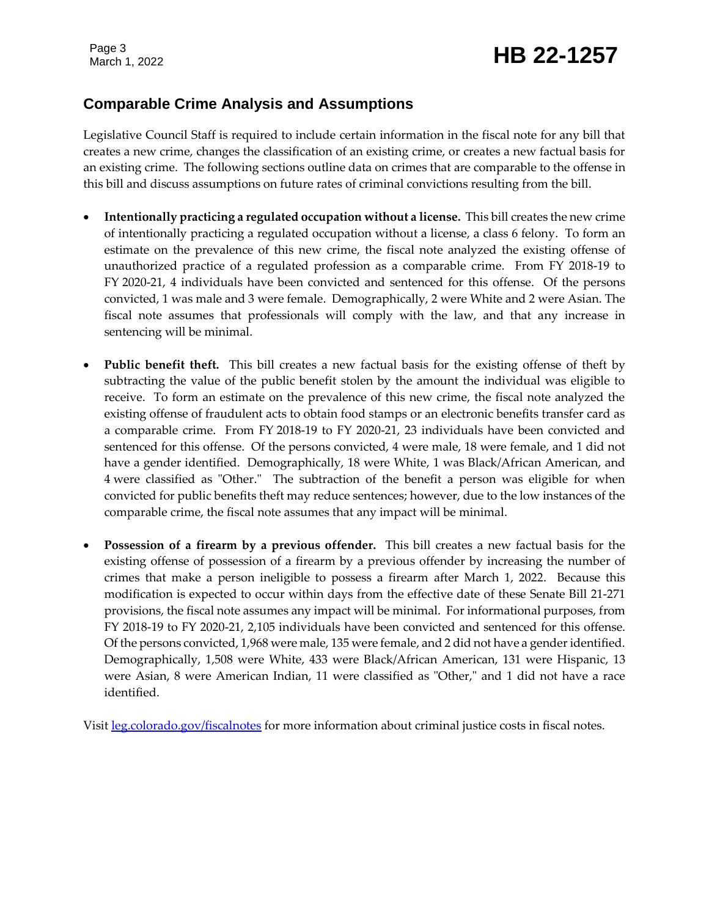#### **Comparable Crime Analysis and Assumptions**

Legislative Council Staff is required to include certain information in the fiscal note for any bill that creates a new crime, changes the classification of an existing crime, or creates a new factual basis for an existing crime. The following sections outline data on crimes that are comparable to the offense in this bill and discuss assumptions on future rates of criminal convictions resulting from the bill.

- **Intentionally practicing a regulated occupation without a license.** This bill creates the new crime of intentionally practicing a regulated occupation without a license, a class 6 felony. To form an estimate on the prevalence of this new crime, the fiscal note analyzed the existing offense of unauthorized practice of a regulated profession as a comparable crime. From FY 2018-19 to FY 2020-21, 4 individuals have been convicted and sentenced for this offense. Of the persons convicted, 1 was male and 3 were female. Demographically, 2 were White and 2 were Asian. The fiscal note assumes that professionals will comply with the law, and that any increase in sentencing will be minimal.
- **Public benefit theft.** This bill creates a new factual basis for the existing offense of theft by subtracting the value of the public benefit stolen by the amount the individual was eligible to receive. To form an estimate on the prevalence of this new crime, the fiscal note analyzed the existing offense of fraudulent acts to obtain food stamps or an electronic benefits transfer card as a comparable crime. From FY 2018-19 to FY 2020-21, 23 individuals have been convicted and sentenced for this offense. Of the persons convicted, 4 were male, 18 were female, and 1 did not have a gender identified. Demographically, 18 were White, 1 was Black/African American, and 4 were classified as "Other." The subtraction of the benefit a person was eligible for when convicted for public benefits theft may reduce sentences; however, due to the low instances of the comparable crime, the fiscal note assumes that any impact will be minimal.
- **Possession of a firearm by a previous offender.** This bill creates a new factual basis for the existing offense of possession of a firearm by a previous offender by increasing the number of crimes that make a person ineligible to possess a firearm after March 1, 2022. Because this modification is expected to occur within days from the effective date of these Senate Bill 21-271 provisions, the fiscal note assumes any impact will be minimal. For informational purposes, from FY 2018-19 to FY 2020-21, 2,105 individuals have been convicted and sentenced for this offense. Of the persons convicted, 1,968 were male, 135 were female, and 2 did not have a gender identified. Demographically, 1,508 were White, 433 were Black/African American, 131 were Hispanic, 13 were Asian, 8 were American Indian, 11 were classified as "Other," and 1 did not have a race identified.

Visit [leg.colorado.gov/fiscalnotes](http://leg.colorado.gov/fiscalnotes/) for more information about criminal justice costs in fiscal notes.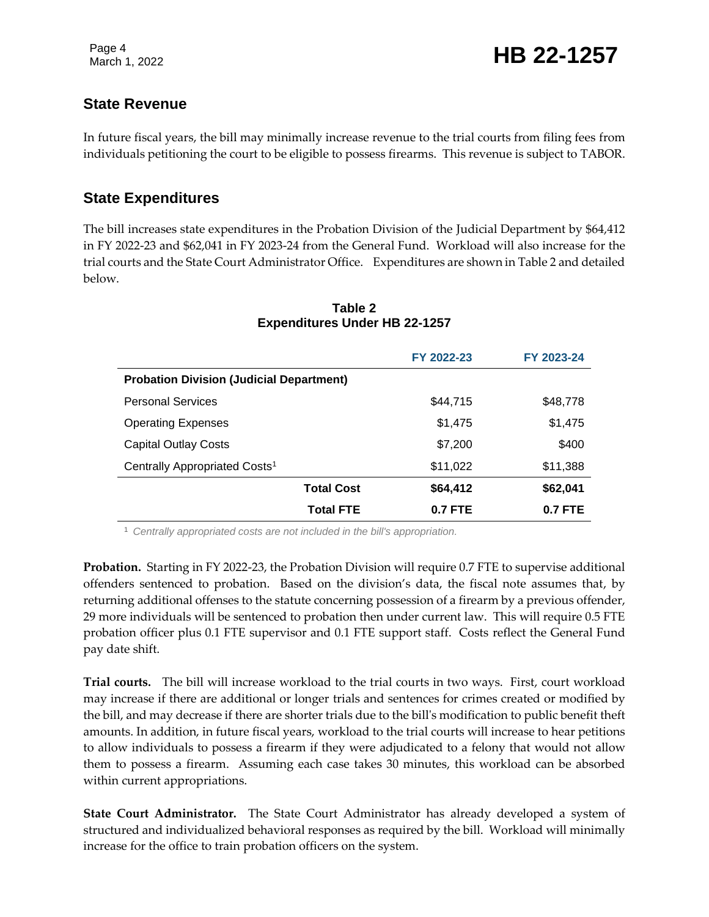Page 4

#### **State Revenue**

In future fiscal years, the bill may minimally increase revenue to the trial courts from filing fees from individuals petitioning the court to be eligible to possess firearms. This revenue is subject to TABOR.

#### **State Expenditures**

The bill increases state expenditures in the Probation Division of the Judicial Department by \$64,412 in FY 2022-23 and \$62,041 in FY 2023-24 from the General Fund. Workload will also increase for the trial courts and the State Court Administrator Office. Expenditures are shown in Table 2 and detailed below.

|                                                 | FY 2022-23 | FY 2023-24 |  |  |
|-------------------------------------------------|------------|------------|--|--|
| <b>Probation Division (Judicial Department)</b> |            |            |  |  |
| <b>Personal Services</b>                        | \$44,715   | \$48,778   |  |  |
| <b>Operating Expenses</b>                       | \$1,475    | \$1,475    |  |  |
| <b>Capital Outlay Costs</b>                     | \$7,200    | \$400      |  |  |
| Centrally Appropriated Costs <sup>1</sup>       | \$11,022   | \$11,388   |  |  |
| <b>Total Cost</b>                               | \$64,412   | \$62,041   |  |  |
| <b>Total FTE</b>                                | $0.7$ FTE  | 0.7 FTE    |  |  |

#### **Table 2 Expenditures Under HB 22-1257**

<sup>1</sup> *Centrally appropriated costs are not included in the bill's appropriation.*

**Probation.** Starting in FY 2022-23, the Probation Division will require 0.7 FTE to supervise additional offenders sentenced to probation. Based on the division's data, the fiscal note assumes that, by returning additional offenses to the statute concerning possession of a firearm by a previous offender, 29 more individuals will be sentenced to probation then under current law. This will require 0.5 FTE probation officer plus 0.1 FTE supervisor and 0.1 FTE support staff. Costs reflect the General Fund pay date shift.

**Trial courts.** The bill will increase workload to the trial courts in two ways. First, court workload may increase if there are additional or longer trials and sentences for crimes created or modified by the bill, and may decrease if there are shorter trials due to the bill's modification to public benefit theft amounts. In addition, in future fiscal years, workload to the trial courts will increase to hear petitions to allow individuals to possess a firearm if they were adjudicated to a felony that would not allow them to possess a firearm. Assuming each case takes 30 minutes, this workload can be absorbed within current appropriations.

**State Court Administrator.** The State Court Administrator has already developed a system of structured and individualized behavioral responses as required by the bill. Workload will minimally increase for the office to train probation officers on the system.